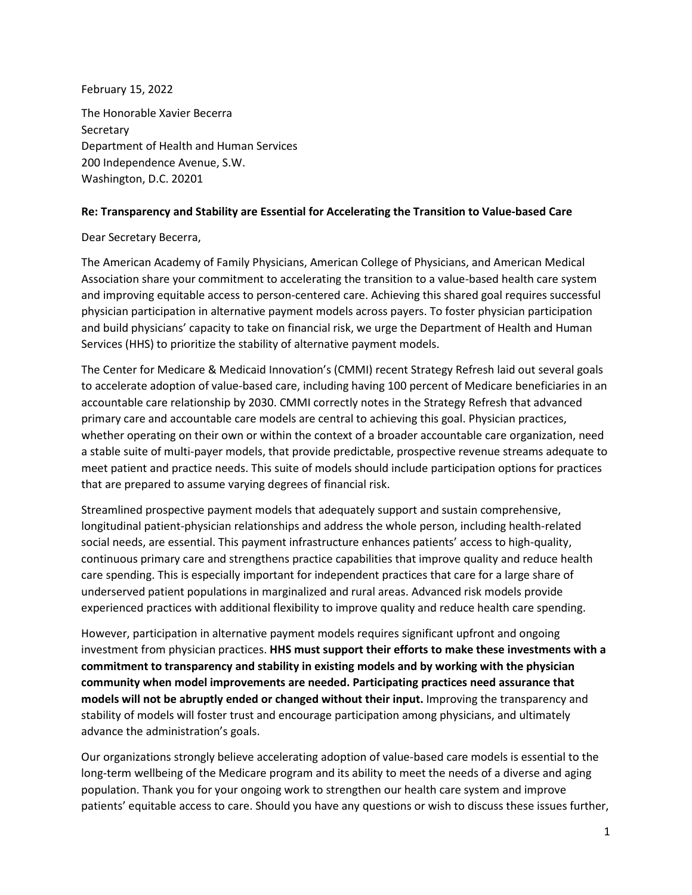February 15, 2022

The Honorable Xavier Becerra **Secretary** Department of Health and Human Services 200 Independence Avenue, S.W. Washington, D.C. 20201

## **Re: Transparency and Stability are Essential for Accelerating the Transition to Value-based Care**

## Dear Secretary Becerra,

The American Academy of Family Physicians, American College of Physicians, and American Medical Association share your commitment to accelerating the transition to a value-based health care system and improving equitable access to person-centered care. Achieving this shared goal requires successful physician participation in alternative payment models across payers. To foster physician participation and build physicians' capacity to take on financial risk, we urge the Department of Health and Human Services (HHS) to prioritize the stability of alternative payment models.

The Center for Medicare & Medicaid Innovation's (CMMI) recent Strategy Refresh laid out several goals to accelerate adoption of value-based care, including having 100 percent of Medicare beneficiaries in an accountable care relationship by 2030. CMMI correctly notes in the Strategy Refresh that advanced primary care and accountable care models are central to achieving this goal. Physician practices, whether operating on their own or within the context of a broader accountable care organization, need a stable suite of multi-payer models, that provide predictable, prospective revenue streams adequate to meet patient and practice needs. This suite of models should include participation options for practices that are prepared to assume varying degrees of financial risk.

Streamlined prospective payment models that adequately support and sustain comprehensive, longitudinal patient-physician relationships and address the whole person, including health-related social needs, are essential. This payment infrastructure enhances patients' access to high-quality, continuous primary care and strengthens practice capabilities that improve quality and reduce health care spending. This is especially important for independent practices that care for a large share of underserved patient populations in marginalized and rural areas. Advanced risk models provide experienced practices with additional flexibility to improve quality and reduce health care spending.

However, participation in alternative payment models requires significant upfront and ongoing investment from physician practices. **HHS must support their efforts to make these investments with a commitment to transparency and stability in existing models and by working with the physician community when model improvements are needed. Participating practices need assurance that models will not be abruptly ended or changed without their input.** Improving the transparency and stability of models will foster trust and encourage participation among physicians, and ultimately advance the administration's goals.

Our organizations strongly believe accelerating adoption of value-based care models is essential to the long-term wellbeing of the Medicare program and its ability to meet the needs of a diverse and aging population. Thank you for your ongoing work to strengthen our health care system and improve patients' equitable access to care. Should you have any questions or wish to discuss these issues further,